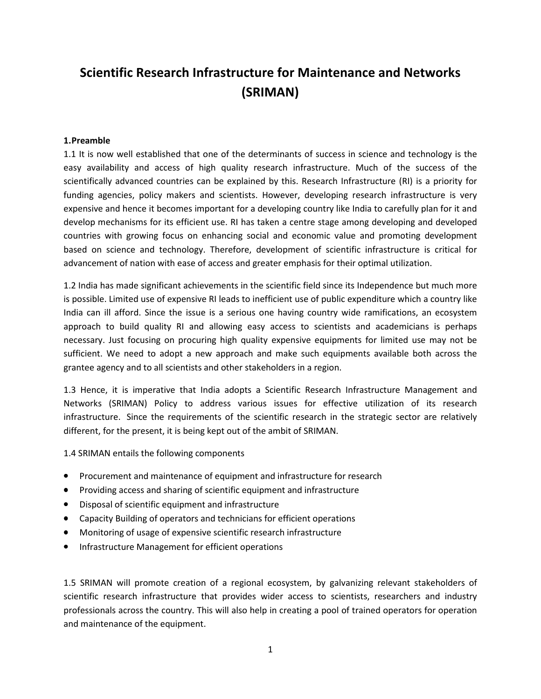# **Scientific Research Infrastructure for Maintenance and Networks (SRIMAN)**

#### **1.Preamble**

1.1 It is now well established that one of the determinants of success in science and technology is the easy availability and access of high quality research infrastructure. Much of the success of the scientifically advanced countries can be explained by this. Research Infrastructure (RI) is a priority for funding agencies, policy makers and scientists. However, developing research infrastructure is very expensive and hence it becomes important for a developing country like India to carefully plan for it and develop mechanisms for its efficient use. RI has taken a centre stage among developing and developed countries with growing focus on enhancing social and economic value and promoting development based on science and technology. Therefore, development of scientific infrastructure is critical for advancement of nation with ease of access and greater emphasis for their optimal utilization.

1.2 India has made significant achievements in the scientific field since its Independence but much more is possible. Limited use of expensive RI leads to inefficient use of public expenditure which a country like India can ill afford. Since the issue is a serious one having country wide ramifications, an ecosystem approach to build quality RI and allowing easy access to scientists and academicians is perhaps necessary. Just focusing on procuring high quality expensive equipments for limited use may not be sufficient. We need to adopt a new approach and make such equipments available both across the grantee agency and to all scientists and other stakeholders in a region.

1.3 Hence, it is imperative that India adopts a Scientific Research Infrastructure Management and Networks (SRIMAN) Policy to address various issues for effective utilization of its research infrastructure. Since the requirements of the scientific research in the strategic sector are relatively different, for the present, it is being kept out of the ambit of SRIMAN.

1.4 SRIMAN entails the following components

- Procurement and maintenance of equipment and infrastructure for research
- Providing access and sharing of scientific equipment and infrastructure
- Disposal of scientific equipment and infrastructure
- Capacity Building of operators and technicians for efficient operations
- Monitoring of usage of expensive scientific research infrastructure
- Infrastructure Management for efficient operations

1.5 SRIMAN will promote creation of a regional ecosystem, by galvanizing relevant stakeholders of scientific research infrastructure that provides wider access to scientists, researchers and industry professionals across the country. This will also help in creating a pool of trained operators for operation and maintenance of the equipment.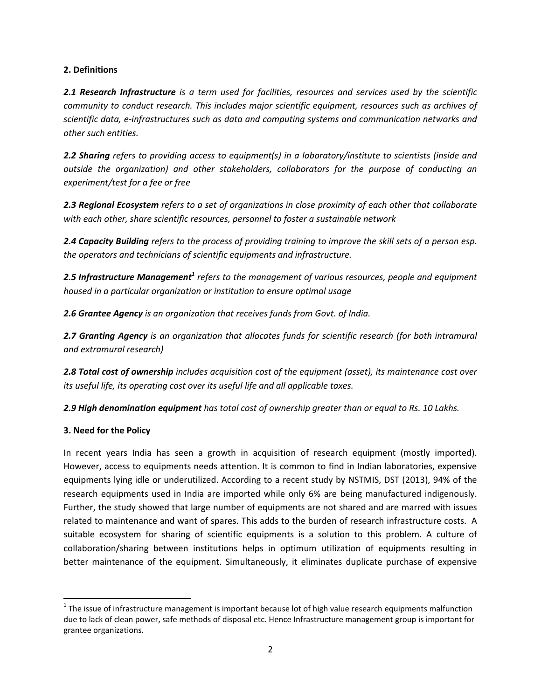#### **2. Definitions**

*2.1 Research Infrastructure is a term used for facilities, resources and services used by the scientific community to conduct research. This includes major scientific equipment, resources such as archives of scientific data, e-infrastructures such as data and computing systems and communication networks and other such entities.* 

*2.2 Sharing refers to providing access to equipment(s) in a laboratory/institute to scientists (inside and outside the organization) and other stakeholders, collaborators for the purpose of conducting an experiment/test for a fee or free* 

*2.3 Regional Ecosystem refers to a set of organizations in close proximity of each other that collaborate with each other, share scientific resources, personnel to foster a sustainable network* 

*2.4 Capacity Building refers to the process of providing training to improve the skill sets of a person esp. the operators and technicians of scientific equipments and infrastructure.* 

2.5 Infrastructure Management<sup>1</sup> refers to the management of various resources, people and equipment *housed in a particular organization or institution to ensure optimal usage* 

*2.6 Grantee Agency is an organization that receives funds from Govt. of India.* 

*2.7 Granting Agency is an organization that allocates funds for scientific research (for both intramural and extramural research)* 

*2.8 Total cost of ownership includes acquisition cost of the equipment (asset), its maintenance cost over its useful life, its operating cost over its useful life and all applicable taxes.* 

*2.9 High denomination equipment has total cost of ownership greater than or equal to Rs. 10 Lakhs.* 

# **3. Need for the Policy**

 $\overline{\phantom{0}}$ 

In recent years India has seen a growth in acquisition of research equipment (mostly imported). However, access to equipments needs attention. It is common to find in Indian laboratories, expensive equipments lying idle or underutilized. According to a recent study by NSTMIS, DST (2013), 94% of the research equipments used in India are imported while only 6% are being manufactured indigenously. Further, the study showed that large number of equipments are not shared and are marred with issues related to maintenance and want of spares. This adds to the burden of research infrastructure costs. A suitable ecosystem for sharing of scientific equipments is a solution to this problem. A culture of collaboration/sharing between institutions helps in optimum utilization of equipments resulting in better maintenance of the equipment. Simultaneously, it eliminates duplicate purchase of expensive

 $1$  The issue of infrastructure management is important because lot of high value research equipments malfunction due to lack of clean power, safe methods of disposal etc. Hence Infrastructure management group is important for grantee organizations.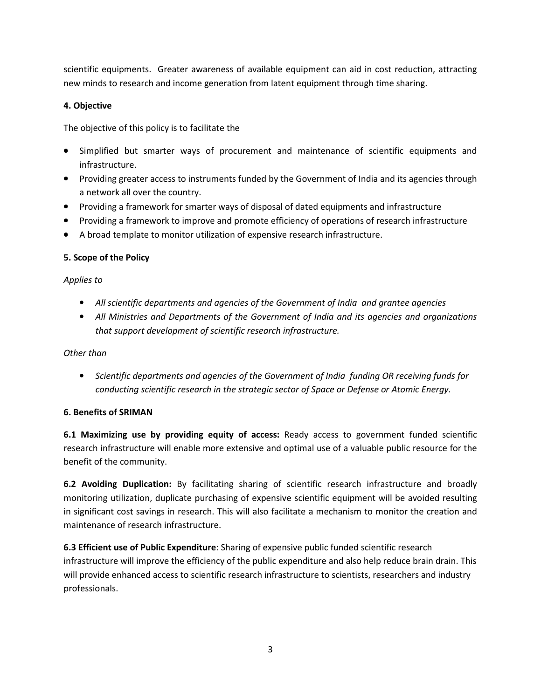scientific equipments. Greater awareness of available equipment can aid in cost reduction, attracting new minds to research and income generation from latent equipment through time sharing.

# **4. Objective**

The objective of this policy is to facilitate the

- Simplified but smarter ways of procurement and maintenance of scientific equipments and infrastructure.
- Providing greater access to instruments funded by the Government of India and its agencies through a network all over the country.
- Providing a framework for smarter ways of disposal of dated equipments and infrastructure
- Providing a framework to improve and promote efficiency of operations of research infrastructure
- A broad template to monitor utilization of expensive research infrastructure.

# **5. Scope of the Policy**

*Applies to* 

- *All scientific departments and agencies of the Government of India and grantee agencies*
- *All Ministries and Departments of the Government of India and its agencies and organizations that support development of scientific research infrastructure.*

# *Other than*

• *Scientific departments and agencies of the Government of India funding OR receiving funds for conducting scientific research in the strategic sector of Space or Defense or Atomic Energy.* 

# **6. Benefits of SRIMAN**

**6.1 Maximizing use by providing equity of access:** Ready access to government funded scientific research infrastructure will enable more extensive and optimal use of a valuable public resource for the benefit of the community.

**6.2 Avoiding Duplication:** By facilitating sharing of scientific research infrastructure and broadly monitoring utilization, duplicate purchasing of expensive scientific equipment will be avoided resulting in significant cost savings in research. This will also facilitate a mechanism to monitor the creation and maintenance of research infrastructure.

**6.3 Efficient use of Public Expenditure**: Sharing of expensive public funded scientific research infrastructure will improve the efficiency of the public expenditure and also help reduce brain drain. This will provide enhanced access to scientific research infrastructure to scientists, researchers and industry professionals.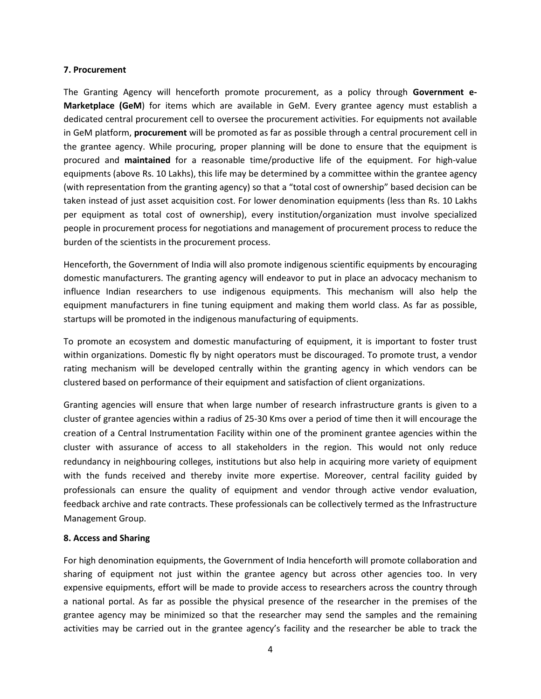#### **7. Procurement**

The Granting Agency will henceforth promote procurement, as a policy through **Government e-Marketplace (GeM**) for items which are available in GeM. Every grantee agency must establish a dedicated central procurement cell to oversee the procurement activities. For equipments not available in GeM platform, **procurement** will be promoted as far as possible through a central procurement cell in the grantee agency. While procuring, proper planning will be done to ensure that the equipment is procured and **maintained** for a reasonable time/productive life of the equipment. For high-value equipments (above Rs. 10 Lakhs), this life may be determined by a committee within the grantee agency (with representation from the granting agency) so that a "total cost of ownership" based decision can be taken instead of just asset acquisition cost. For lower denomination equipments (less than Rs. 10 Lakhs per equipment as total cost of ownership), every institution/organization must involve specialized people in procurement process for negotiations and management of procurement process to reduce the burden of the scientists in the procurement process.

Henceforth, the Government of India will also promote indigenous scientific equipments by encouraging domestic manufacturers. The granting agency will endeavor to put in place an advocacy mechanism to influence Indian researchers to use indigenous equipments. This mechanism will also help the equipment manufacturers in fine tuning equipment and making them world class. As far as possible, startups will be promoted in the indigenous manufacturing of equipments.

To promote an ecosystem and domestic manufacturing of equipment, it is important to foster trust within organizations. Domestic fly by night operators must be discouraged. To promote trust, a vendor rating mechanism will be developed centrally within the granting agency in which vendors can be clustered based on performance of their equipment and satisfaction of client organizations.

Granting agencies will ensure that when large number of research infrastructure grants is given to a cluster of grantee agencies within a radius of 25-30 Kms over a period of time then it will encourage the creation of a Central Instrumentation Facility within one of the prominent grantee agencies within the cluster with assurance of access to all stakeholders in the region. This would not only reduce redundancy in neighbouring colleges, institutions but also help in acquiring more variety of equipment with the funds received and thereby invite more expertise. Moreover, central facility guided by professionals can ensure the quality of equipment and vendor through active vendor evaluation, feedback archive and rate contracts. These professionals can be collectively termed as the Infrastructure Management Group.

#### **8. Access and Sharing**

For high denomination equipments, the Government of India henceforth will promote collaboration and sharing of equipment not just within the grantee agency but across other agencies too. In very expensive equipments, effort will be made to provide access to researchers across the country through a national portal. As far as possible the physical presence of the researcher in the premises of the grantee agency may be minimized so that the researcher may send the samples and the remaining activities may be carried out in the grantee agency's facility and the researcher be able to track the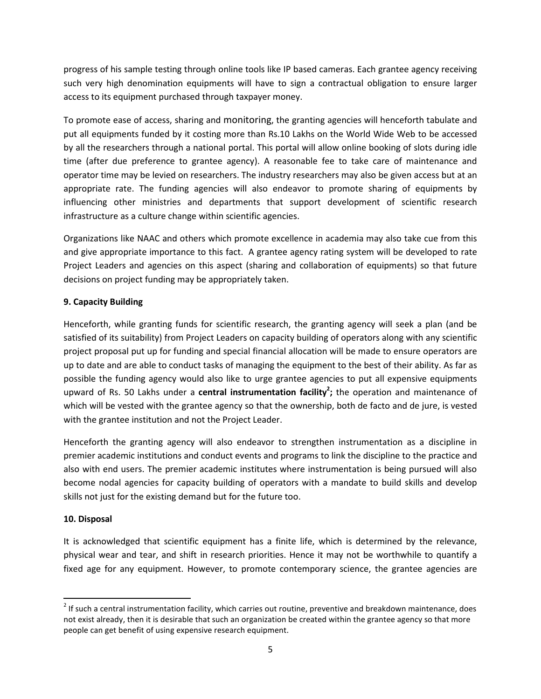progress of his sample testing through online tools like IP based cameras. Each grantee agency receiving such very high denomination equipments will have to sign a contractual obligation to ensure larger access to its equipment purchased through taxpayer money.

To promote ease of access, sharing and monitoring, the granting agencies will henceforth tabulate and put all equipments funded by it costing more than Rs.10 Lakhs on the World Wide Web to be accessed by all the researchers through a national portal. This portal will allow online booking of slots during idle time (after due preference to grantee agency). A reasonable fee to take care of maintenance and operator time may be levied on researchers. The industry researchers may also be given access but at an appropriate rate. The funding agencies will also endeavor to promote sharing of equipments by influencing other ministries and departments that support development of scientific research infrastructure as a culture change within scientific agencies.

Organizations like NAAC and others which promote excellence in academia may also take cue from this and give appropriate importance to this fact. A grantee agency rating system will be developed to rate Project Leaders and agencies on this aspect (sharing and collaboration of equipments) so that future decisions on project funding may be appropriately taken.

# **9. Capacity Building**

Henceforth, while granting funds for scientific research, the granting agency will seek a plan (and be satisfied of its suitability) from Project Leaders on capacity building of operators along with any scientific project proposal put up for funding and special financial allocation will be made to ensure operators are up to date and are able to conduct tasks of managing the equipment to the best of their ability. As far as possible the funding agency would also like to urge grantee agencies to put all expensive equipments upward of Rs. 50 Lakhs under a **central instrumentation facility<sup>2</sup> ;** the operation and maintenance of which will be vested with the grantee agency so that the ownership, both de facto and de jure, is vested with the grantee institution and not the Project Leader.

Henceforth the granting agency will also endeavor to strengthen instrumentation as a discipline in premier academic institutions and conduct events and programs to link the discipline to the practice and also with end users. The premier academic institutes where instrumentation is being pursued will also become nodal agencies for capacity building of operators with a mandate to build skills and develop skills not just for the existing demand but for the future too.

# **10. Disposal**

<u>.</u>

It is acknowledged that scientific equipment has a finite life, which is determined by the relevance, physical wear and tear, and shift in research priorities. Hence it may not be worthwhile to quantify a fixed age for any equipment. However, to promote contemporary science, the grantee agencies are

 $2$  If such a central instrumentation facility, which carries out routine, preventive and breakdown maintenance, does not exist already, then it is desirable that such an organization be created within the grantee agency so that more people can get benefit of using expensive research equipment.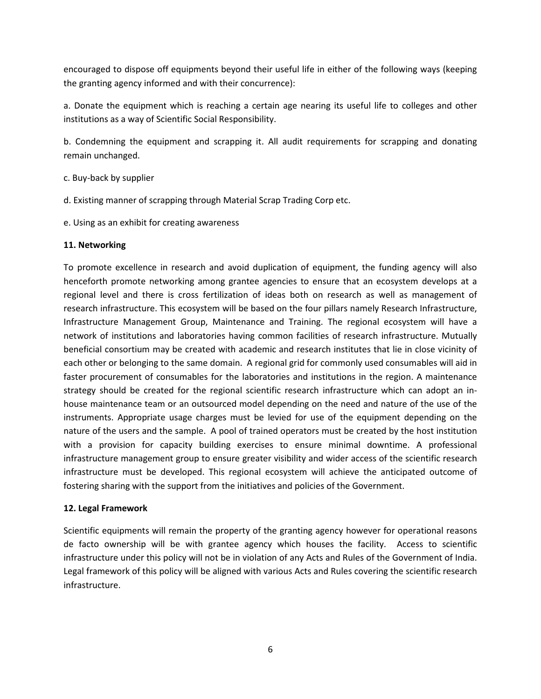encouraged to dispose off equipments beyond their useful life in either of the following ways (keeping the granting agency informed and with their concurrence):

a. Donate the equipment which is reaching a certain age nearing its useful life to colleges and other institutions as a way of Scientific Social Responsibility.

b. Condemning the equipment and scrapping it. All audit requirements for scrapping and donating remain unchanged.

- c. Buy-back by supplier
- d. Existing manner of scrapping through Material Scrap Trading Corp etc.
- e. Using as an exhibit for creating awareness

### **11. Networking**

To promote excellence in research and avoid duplication of equipment, the funding agency will also henceforth promote networking among grantee agencies to ensure that an ecosystem develops at a regional level and there is cross fertilization of ideas both on research as well as management of research infrastructure. This ecosystem will be based on the four pillars namely Research Infrastructure, Infrastructure Management Group, Maintenance and Training. The regional ecosystem will have a network of institutions and laboratories having common facilities of research infrastructure. Mutually beneficial consortium may be created with academic and research institutes that lie in close vicinity of each other or belonging to the same domain. A regional grid for commonly used consumables will aid in faster procurement of consumables for the laboratories and institutions in the region. A maintenance strategy should be created for the regional scientific research infrastructure which can adopt an inhouse maintenance team or an outsourced model depending on the need and nature of the use of the instruments. Appropriate usage charges must be levied for use of the equipment depending on the nature of the users and the sample. A pool of trained operators must be created by the host institution with a provision for capacity building exercises to ensure minimal downtime. A professional infrastructure management group to ensure greater visibility and wider access of the scientific research infrastructure must be developed. This regional ecosystem will achieve the anticipated outcome of fostering sharing with the support from the initiatives and policies of the Government.

#### **12. Legal Framework**

Scientific equipments will remain the property of the granting agency however for operational reasons de facto ownership will be with grantee agency which houses the facility. Access to scientific infrastructure under this policy will not be in violation of any Acts and Rules of the Government of India. Legal framework of this policy will be aligned with various Acts and Rules covering the scientific research infrastructure.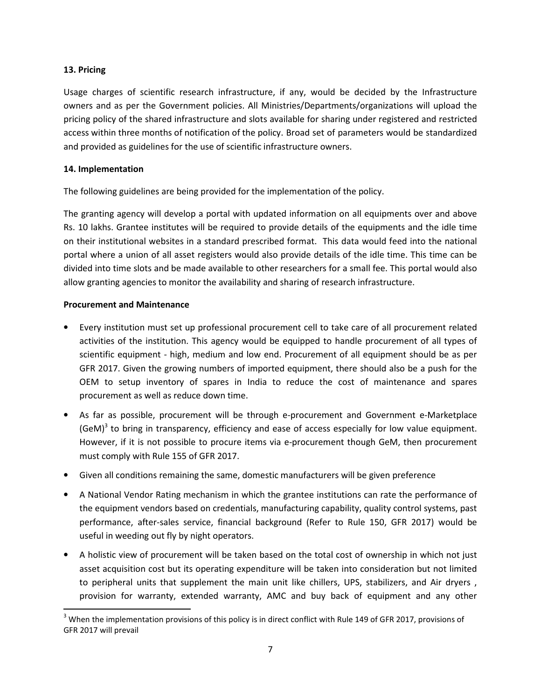#### **13. Pricing**

Usage charges of scientific research infrastructure, if any, would be decided by the Infrastructure owners and as per the Government policies. All Ministries/Departments/organizations will upload the pricing policy of the shared infrastructure and slots available for sharing under registered and restricted access within three months of notification of the policy. Broad set of parameters would be standardized and provided as guidelines for the use of scientific infrastructure owners.

### **14. Implementation**

The following guidelines are being provided for the implementation of the policy.

The granting agency will develop a portal with updated information on all equipments over and above Rs. 10 lakhs. Grantee institutes will be required to provide details of the equipments and the idle time on their institutional websites in a standard prescribed format. This data would feed into the national portal where a union of all asset registers would also provide details of the idle time. This time can be divided into time slots and be made available to other researchers for a small fee. This portal would also allow granting agencies to monitor the availability and sharing of research infrastructure.

### **Procurement and Maintenance**

<u>.</u>

- Every institution must set up professional procurement cell to take care of all procurement related activities of the institution. This agency would be equipped to handle procurement of all types of scientific equipment - high, medium and low end. Procurement of all equipment should be as per GFR 2017. Given the growing numbers of imported equipment, there should also be a push for the OEM to setup inventory of spares in India to reduce the cost of maintenance and spares procurement as well as reduce down time.
- As far as possible, procurement will be through e-procurement and Government e-Marketplace (GeM)<sup>3</sup> to bring in transparency, efficiency and ease of access especially for low value equipment. However, if it is not possible to procure items via e-procurement though GeM, then procurement must comply with Rule 155 of GFR 2017.
- Given all conditions remaining the same, domestic manufacturers will be given preference
- A National Vendor Rating mechanism in which the grantee institutions can rate the performance of the equipment vendors based on credentials, manufacturing capability, quality control systems, past performance, after-sales service, financial background (Refer to Rule 150, GFR 2017) would be useful in weeding out fly by night operators.
- A holistic view of procurement will be taken based on the total cost of ownership in which not just asset acquisition cost but its operating expenditure will be taken into consideration but not limited to peripheral units that supplement the main unit like chillers, UPS, stabilizers, and Air dryers , provision for warranty, extended warranty, AMC and buy back of equipment and any other

 $3$  When the implementation provisions of this policy is in direct conflict with Rule 149 of GFR 2017, provisions of GFR 2017 will prevail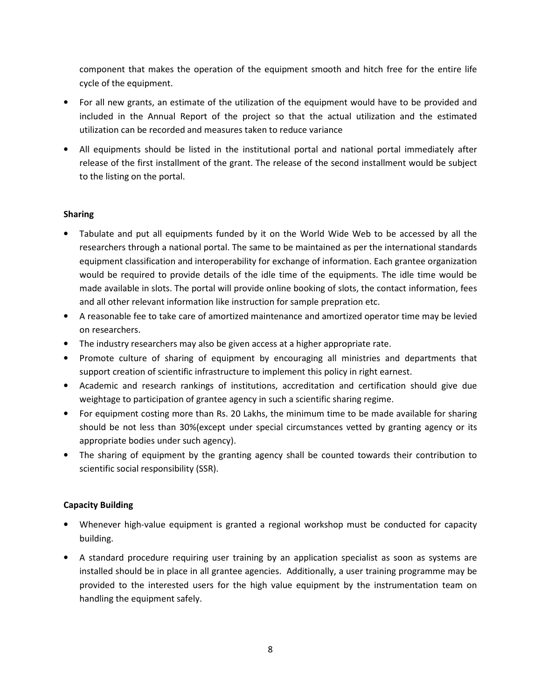component that makes the operation of the equipment smooth and hitch free for the entire life cycle of the equipment.

- For all new grants, an estimate of the utilization of the equipment would have to be provided and included in the Annual Report of the project so that the actual utilization and the estimated utilization can be recorded and measures taken to reduce variance
- All equipments should be listed in the institutional portal and national portal immediately after release of the first installment of the grant. The release of the second installment would be subject to the listing on the portal.

### **Sharing**

- Tabulate and put all equipments funded by it on the World Wide Web to be accessed by all the researchers through a national portal. The same to be maintained as per the international standards equipment classification and interoperability for exchange of information. Each grantee organization would be required to provide details of the idle time of the equipments. The idle time would be made available in slots. The portal will provide online booking of slots, the contact information, fees and all other relevant information like instruction for sample prepration etc.
- A reasonable fee to take care of amortized maintenance and amortized operator time may be levied on researchers.
- The industry researchers may also be given access at a higher appropriate rate.
- Promote culture of sharing of equipment by encouraging all ministries and departments that support creation of scientific infrastructure to implement this policy in right earnest.
- Academic and research rankings of institutions, accreditation and certification should give due weightage to participation of grantee agency in such a scientific sharing regime.
- For equipment costing more than Rs. 20 Lakhs, the minimum time to be made available for sharing should be not less than 30%(except under special circumstances vetted by granting agency or its appropriate bodies under such agency).
- The sharing of equipment by the granting agency shall be counted towards their contribution to scientific social responsibility (SSR).

# **Capacity Building**

- Whenever high-value equipment is granted a regional workshop must be conducted for capacity building.
- A standard procedure requiring user training by an application specialist as soon as systems are installed should be in place in all grantee agencies. Additionally, a user training programme may be provided to the interested users for the high value equipment by the instrumentation team on handling the equipment safely.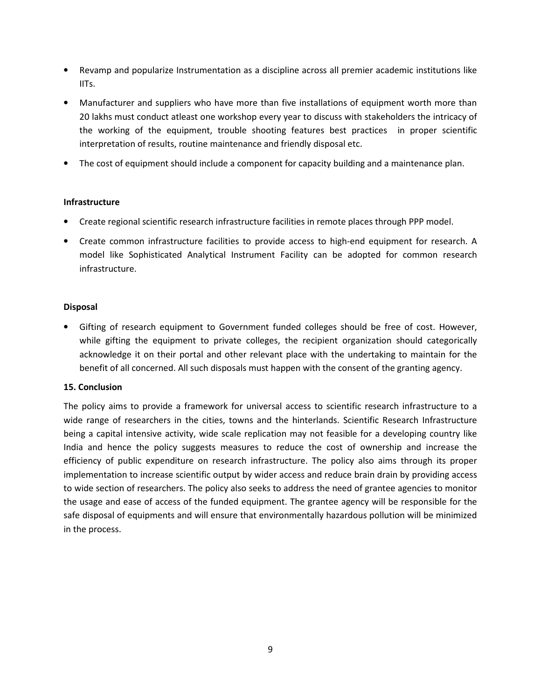- Revamp and popularize Instrumentation as a discipline across all premier academic institutions like IITs.
- Manufacturer and suppliers who have more than five installations of equipment worth more than 20 lakhs must conduct atleast one workshop every year to discuss with stakeholders the intricacy of the working of the equipment, trouble shooting features best practices in proper scientific interpretation of results, routine maintenance and friendly disposal etc.
- The cost of equipment should include a component for capacity building and a maintenance plan.

#### **Infrastructure**

- Create regional scientific research infrastructure facilities in remote places through PPP model.
- Create common infrastructure facilities to provide access to high-end equipment for research. A model like Sophisticated Analytical Instrument Facility can be adopted for common research infrastructure.

#### **Disposal**

• Gifting of research equipment to Government funded colleges should be free of cost. However, while gifting the equipment to private colleges, the recipient organization should categorically acknowledge it on their portal and other relevant place with the undertaking to maintain for the benefit of all concerned. All such disposals must happen with the consent of the granting agency.

#### **15. Conclusion**

The policy aims to provide a framework for universal access to scientific research infrastructure to a wide range of researchers in the cities, towns and the hinterlands. Scientific Research Infrastructure being a capital intensive activity, wide scale replication may not feasible for a developing country like India and hence the policy suggests measures to reduce the cost of ownership and increase the efficiency of public expenditure on research infrastructure. The policy also aims through its proper implementation to increase scientific output by wider access and reduce brain drain by providing access to wide section of researchers. The policy also seeks to address the need of grantee agencies to monitor the usage and ease of access of the funded equipment. The grantee agency will be responsible for the safe disposal of equipments and will ensure that environmentally hazardous pollution will be minimized in the process.